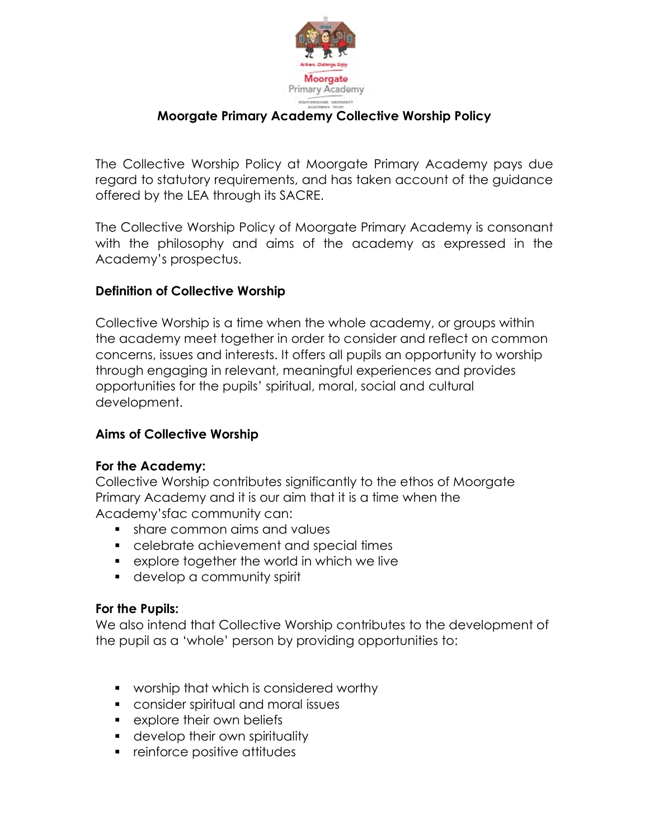

# **Moorgate Primary Academy Collective Worship Policy**

The Collective Worship Policy at Moorgate Primary Academy pays due regard to statutory requirements, and has taken account of the guidance offered by the LEA through its SACRE.

The Collective Worship Policy of Moorgate Primary Academy is consonant with the philosophy and aims of the academy as expressed in the Academy's prospectus.

### **Definition of Collective Worship**

Collective Worship is a time when the whole academy, or groups within the academy meet together in order to consider and reflect on common concerns, issues and interests. It offers all pupils an opportunity to worship through engaging in relevant, meaningful experiences and provides opportunities for the pupils' spiritual, moral, social and cultural development.

### **Aims of Collective Worship**

#### **For the Academy:**

Collective Worship contributes significantly to the ethos of Moorgate Primary Academy and it is our aim that it is a time when the Academy'sfac community can:

- **share common aims and values**
- celebrate achievement and special times
- explore together the world in which we live
- **develop a community spirit**

#### **For the Pupils:**

We also intend that Collective Worship contributes to the development of the pupil as a 'whole' person by providing opportunities to:

- **worship that which is considered worthy**
- consider spiritual and moral issues
- **Explore their own beliefs**
- **develop their own spirituality**
- **F** reinforce positive attitudes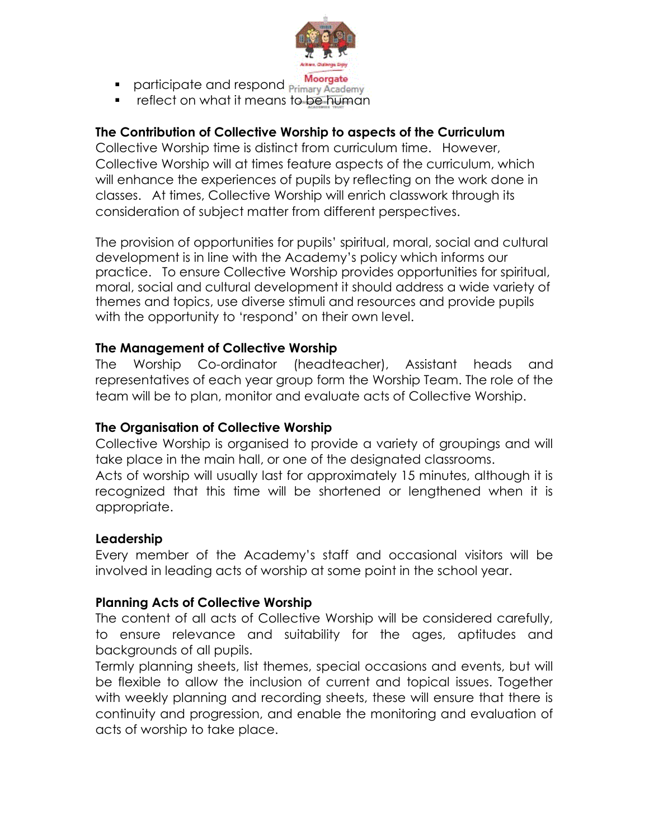

- **Participate and respond Primary Academy**
- **F** reflect on what it means to be human

## **The Contribution of Collective Worship to aspects of the Curriculum**

Collective Worship time is distinct from curriculum time. However, Collective Worship will at times feature aspects of the curriculum, which will enhance the experiences of pupils by reflecting on the work done in classes. At times, Collective Worship will enrich classwork through its consideration of subject matter from different perspectives.

The provision of opportunities for pupils' spiritual, moral, social and cultural development is in line with the Academy's policy which informs our practice. To ensure Collective Worship provides opportunities for spiritual, moral, social and cultural development it should address a wide variety of themes and topics, use diverse stimuli and resources and provide pupils with the opportunity to 'respond' on their own level.

### **The Management of Collective Worship**

The Worship Co-ordinator (headteacher), Assistant heads and representatives of each year group form the Worship Team. The role of the team will be to plan, monitor and evaluate acts of Collective Worship.

### **The Organisation of Collective Worship**

Collective Worship is organised to provide a variety of groupings and will take place in the main hall, or one of the designated classrooms.

Acts of worship will usually last for approximately 15 minutes, although it is recognized that this time will be shortened or lengthened when it is appropriate.

### **Leadership**

Every member of the Academy's staff and occasional visitors will be involved in leading acts of worship at some point in the school year.

### **Planning Acts of Collective Worship**

The content of all acts of Collective Worship will be considered carefully, to ensure relevance and suitability for the ages, aptitudes and backgrounds of all pupils.

Termly planning sheets, list themes, special occasions and events, but will be flexible to allow the inclusion of current and topical issues. Together with weekly planning and recording sheets, these will ensure that there is continuity and progression, and enable the monitoring and evaluation of acts of worship to take place.